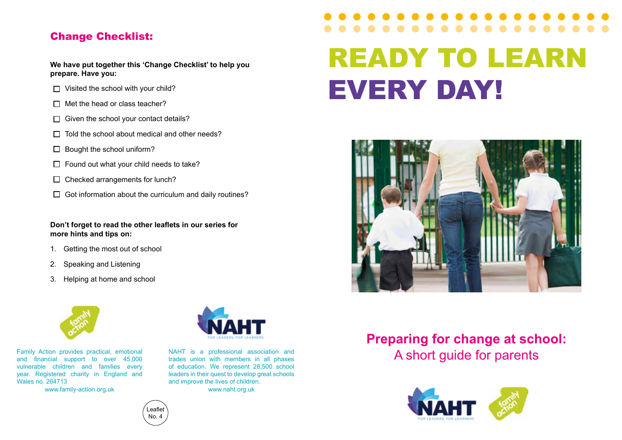### Change Checklist:

**We have put together this 'Change Checklist' to help you prepare. Have you:**

- $\Box$  Visited the school with your child?
- $\Pi$  Met the head or class teacher?
- $\Box$  Given the school your contact details?
- $\Box$  Told the school about medical and other needs?
- $\Box$  Bought the school uniform?
- $\Box$  Found out what your child needs to take?
- $\Box$  Checked arrangements for lunch?
- $\Box$  Got information about the curriculum and daily routines?

**Don't forget to read the other leaflets in our series for more hints and tips on:**

- 1. Getting the most out of school
- 2. Speaking and Listening
- 3. Helping at home and school



Family Action provides practical, emotional and financial support to over 45,000 vulnerable children and families every year. Registered charity in England and Wales no. 264713

www.family-action.org.uk



trades union with members in all phases of education. We represent 28,500 school leaders in their quest to develop great schools and improve the lives of children. www.naht.org.uk

# READY TO LEARN EVERY DAY!



# **Preparing for change at school:**  NAHT is a professional association and<br> **Exades** union with members in all phases<br> **A short quide for parents**